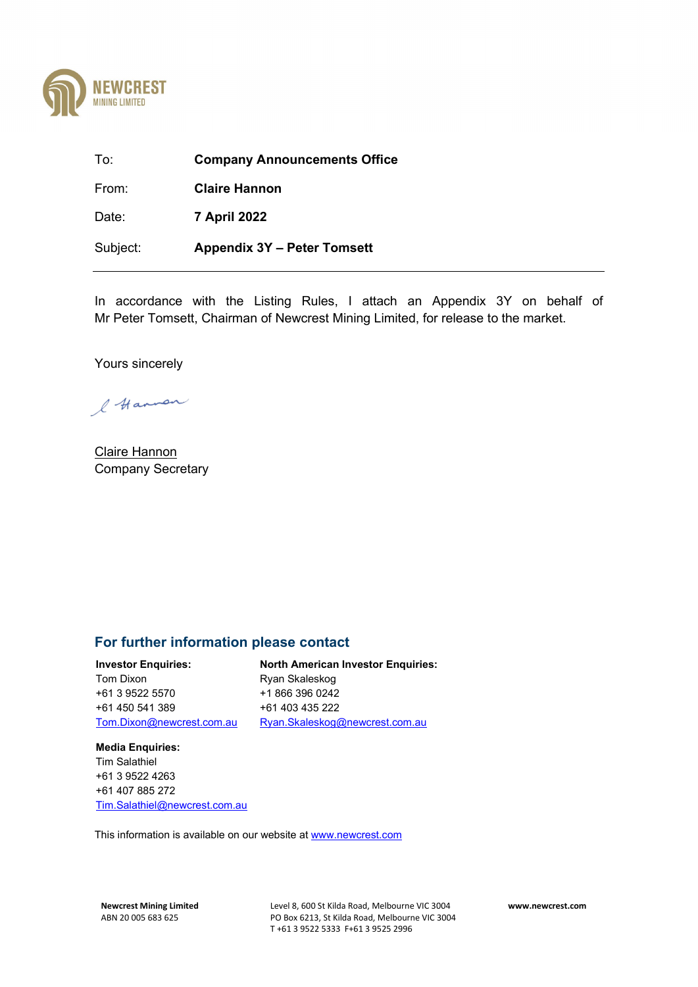

To: **Company Announcements Office** From: **Claire Hannon** Date: **7 April 2022** Subject: **Appendix 3Y – Peter Tomsett**

In accordance with the Listing Rules, I attach an Appendix 3Y on behalf of Mr Peter Tomsett, Chairman of Newcrest Mining Limited, for release to the market.

Yours sincerely

l Hannon

Claire Hannon Company Secretary

### **For further information please contact**

**Investor Enquiries:** Tom Dixon +61 3 9522 5570 +61 450 541 389 [Tom.Dixon@newcrest.com.au](mailto:Tom.Dixon@newcrest.com.au) 

**North American Investor Enquiries:** Ryan Skaleskog +1 866 396 0242 +61 403 435 222

[Ryan.Skaleskog@newcrest.com.au](mailto:Ryan.Skaleskog@newcrest.com.au) 

### **Media Enquiries:** Tim Salathiel +61 3 9522 4263 +61 407 885 272 Tim.Salathiel@newcrest.com.au

This information is available on our website a[t www.newcrest.com](http://www.newcrest.com/)

**Newcrest Mining Limited** Level 8, 600 St Kilda Road, Melbourne VIC 3004 **www.newcrest.com** PO Box 6213, St Kilda Road, Melbourne VIC 3004 T +61 3 9522 5333 F+61 3 9525 2996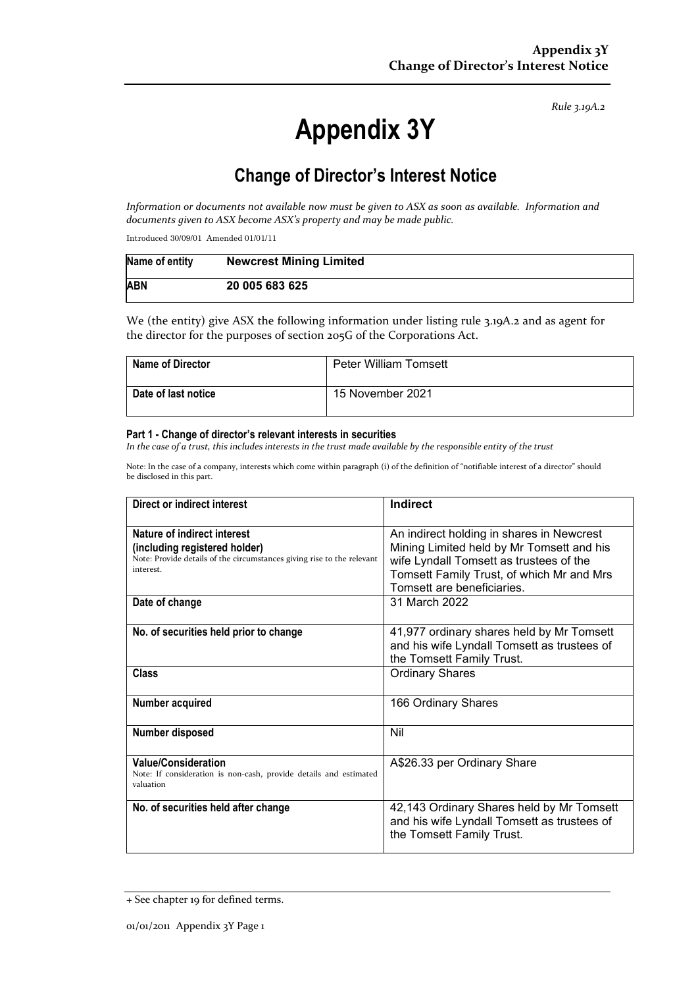*Rule 3.19A.2*

# **Appendix 3Y**

# **Change of Director's Interest Notice**

*Information or documents not available now must be given to ASX as soon as available. Information and documents given to ASX become ASX's property and may be made public.*

Introduced 30/09/01 Amended 01/01/11

| Name of entity | <b>Newcrest Mining Limited</b> |
|----------------|--------------------------------|
| <b>ABN</b>     | 20 005 683 625                 |

We (the entity) give ASX the following information under listing rule 3.19A.2 and as agent for the director for the purposes of section 205G of the Corporations Act.

| <b>Name of Director</b> | <b>Peter William Tomsett</b> |
|-------------------------|------------------------------|
| Date of last notice     | 15 November 2021             |

#### **Part 1 - Change of director's relevant interests in securities**

*In the case of a trust, this includes interests in the trust made available by the responsible entity of the trust*

Note: In the case of a company, interests which come within paragraph (i) of the definition of "notifiable interest of a director" should be disclosed in this part.

| Direct or indirect interest                                                                                                                         | Indirect                                                                                                                                                                                                     |  |
|-----------------------------------------------------------------------------------------------------------------------------------------------------|--------------------------------------------------------------------------------------------------------------------------------------------------------------------------------------------------------------|--|
| Nature of indirect interest<br>(including registered holder)<br>Note: Provide details of the circumstances giving rise to the relevant<br>interest. | An indirect holding in shares in Newcrest<br>Mining Limited held by Mr Tomsett and his<br>wife Lyndall Tomsett as trustees of the<br>Tomsett Family Trust, of which Mr and Mrs<br>Tomsett are beneficiaries. |  |
| Date of change                                                                                                                                      | 31 March 2022                                                                                                                                                                                                |  |
| No. of securities held prior to change                                                                                                              | 41,977 ordinary shares held by Mr Tomsett<br>and his wife Lyndall Tomsett as trustees of<br>the Tomsett Family Trust.                                                                                        |  |
| <b>Class</b>                                                                                                                                        | <b>Ordinary Shares</b>                                                                                                                                                                                       |  |
| Number acquired                                                                                                                                     | 166 Ordinary Shares                                                                                                                                                                                          |  |
| Number disposed                                                                                                                                     | Nil                                                                                                                                                                                                          |  |
| <b>Value/Consideration</b><br>Note: If consideration is non-cash, provide details and estimated<br>valuation                                        | A\$26.33 per Ordinary Share                                                                                                                                                                                  |  |
| No. of securities held after change                                                                                                                 | 42,143 Ordinary Shares held by Mr Tomsett<br>and his wife Lyndall Tomsett as trustees of<br>the Tomsett Family Trust.                                                                                        |  |

<sup>+</sup> See chapter 19 for defined terms.